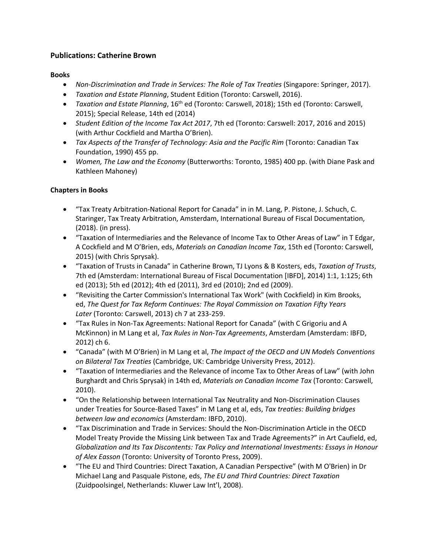## **Publications: Catherine Brown**

#### **Books**

- *Non-Discrimination and Trade in Services: The Role of Tax Treaties* (Singapore: Springer, 2017).
- *Taxation and Estate Planning*, Student Edition (Toronto: Carswell, 2016).
- *Taxation and Estate Planning*, 16th ed (Toronto: Carswell, 2018); 15th ed (Toronto: Carswell, 2015); Special Release, 14th ed (2014)
- *Student Edition of the Income Tax Act 2017*, 7th ed (Toronto: Carswell: 2017, 2016 and 2015) (with Arthur Cockfield and Martha O'Brien).
- *Tax Aspects of the Transfer of Technology: Asia and the Pacific Rim* (Toronto: Canadian Tax Foundation, 1990) 455 pp.
- *Women, The Law and the Economy* (Butterworths: Toronto, 1985) 400 pp. (with Diane Pask and Kathleen Mahoney)

### **Chapters in Books**

- "Tax Treaty Arbitration-National Report for Canada" in in M. Lang, P. Pistone, J. Schuch, C. Staringer, Tax Treaty Arbitration, Amsterdam, International Bureau of Fiscal Documentation, (2018). (in press).
- "Taxation of Intermediaries and the Relevance of Income Tax to Other Areas of Law" in T Edgar, A Cockfield and M O'Brien, eds, *Materials on Canadian Income Tax*, 15th ed (Toronto: Carswell, 2015) (with Chris Sprysak).
- "Taxation of Trusts in Canada" in Catherine Brown, TJ Lyons & B Kosters, eds, *Taxation of Trusts*, 7th ed (Amsterdam: International Bureau of Fiscal Documentation [IBFD], 2014) 1:1, 1:125; 6th ed (2013); 5th ed (2012); 4th ed (2011), 3rd ed (2010); 2nd ed (2009).
- "Revisiting the Carter Commission's International Tax Work" (with Cockfield) in Kim Brooks, ed, *The Quest for Tax Reform Continues: The Royal Commission on Taxation Fifty Years Later* (Toronto: Carswell, 2013) ch 7 at 233-259.
- "Tax Rules in Non-Tax Agreements: National Report for Canada" (with C Grigoriu and A McKinnon) in M Lang et al, *Tax Rules in Non-Tax Agreements*, Amsterdam (Amsterdam: IBFD, 2012) ch 6.
- "Canada" (with M O'Brien) in M Lang et al, *The Impact of the OECD and UN Models Conventions on Bilateral Tax Treaties* (Cambridge, UK: Cambridge University Press, 2012).
- "Taxation of Intermediaries and the Relevance of income Tax to Other Areas of Law" (with John Burghardt and Chris Sprysak) in 14th ed, *Materials on Canadian Income Tax* (Toronto: Carswell, 2010).
- "On the Relationship between International Tax Neutrality and Non-Discrimination Clauses under Treaties for Source-Based Taxes" in M Lang et al, eds, *Tax treaties: Building bridges between law and economics* (Amsterdam: IBFD, 2010).
- "Tax Discrimination and Trade in Services: Should the Non-Discrimination Article in the OECD Model Treaty Provide the Missing Link between Tax and Trade Agreements?" in Art Caufield, ed, *Globalization and Its Tax Discontents: Tax Policy and International Investments: Essays in Honour of Alex Easson* (Toronto: University of Toronto Press, 2009).
- "The EU and Third Countries: Direct Taxation, A Canadian Perspective" (with M O'Brien) in Dr Michael Lang and Pasquale Pistone, eds, *The EU and Third Countries: Direct Taxation* (Zuidpoolsingel, Netherlands: Kluwer Law Int'l, 2008).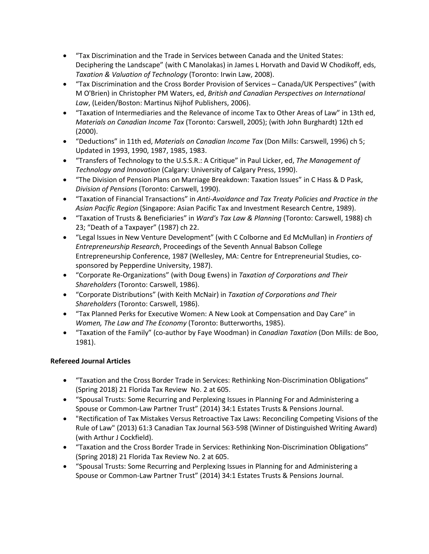- "Tax Discrimination and the Trade in Services between Canada and the United States: Deciphering the Landscape" (with C Manolakas) in James L Horvath and David W Chodikoff, eds, *Taxation & Valuation of Technology* (Toronto: Irwin Law, 2008).
- "Tax Discrimination and the Cross Border Provision of Services Canada/UK Perspectives" (with M O'Brien) in Christopher PM Waters, ed, *British and Canadian Perspectives on International Law*, (Leiden/Boston: Martinus Nijhof Publishers, 2006).
- "Taxation of Intermediaries and the Relevance of income Tax to Other Areas of Law" in 13th ed, *Materials on Canadian Income Tax* (Toronto: Carswell, 2005); (with John Burghardt) 12th ed (2000).
- "Deductions" in 11th ed, *Materials on Canadian Income Tax* (Don Mills: Carswell, 1996) ch 5; Updated in 1993, 1990, 1987, 1985, 1983.
- "Transfers of Technology to the U.S.S.R.: A Critique" in Paul Licker, ed, *The Management of Technology and Innovation* (Calgary: University of Calgary Press, 1990).
- "The Division of Pension Plans on Marriage Breakdown: Taxation Issues" in C Hass & D Pask, *Division of Pensions* (Toronto: Carswell, 1990).
- "Taxation of Financial Transactions" in *Anti-Avoidance and Tax Treaty Policies and Practice in the Asian Pacific Region* (Singapore: Asian Pacific Tax and Investment Research Centre, 1989).
- "Taxation of Trusts & Beneficiaries" in *Ward's Tax Law & Planning* (Toronto: Carswell, 1988) ch 23; "Death of a Taxpayer" (1987) ch 22.
- "Legal Issues in New Venture Development" (with C Colborne and Ed McMullan) in *Frontiers of Entrepreneurship Research*, Proceedings of the Seventh Annual Babson College Entrepreneurship Conference, 1987 (Wellesley, MA: Centre for Entrepreneurial Studies, cosponsored by Pepperdine University, 1987).
- "Corporate Re-Organizations" (with Doug Ewens) in *Taxation of Corporations and Their Shareholders* (Toronto: Carswell, 1986).
- "Corporate Distributions" (with Keith McNair) in *Taxation of Corporations and Their Shareholders* (Toronto: Carswell, 1986).
- "Tax Planned Perks for Executive Women: A New Look at Compensation and Day Care" in *Women, The Law and The Economy* (Toronto: Butterworths, 1985).
- "Taxation of the Family" (co-author by Faye Woodman) in *Canadian Taxation* (Don Mills: de Boo, 1981).

# **Refereed Journal Articles**

- "Taxation and the Cross Border Trade in Services: Rethinking Non-Discrimination Obligations" (Spring 2018) 21 Florida Tax Review No. 2 at 605.
- "Spousal Trusts: Some Recurring and Perplexing Issues in Planning For and Administering a Spouse or Common-Law Partner Trust" (2014) 34:1 Estates Trusts & Pensions Journal.
- "Rectification of Tax Mistakes Versus Retroactive Tax Laws: Reconciling Competing Visions of the Rule of Law" (2013) 61:3 Canadian Tax Journal 563-598 (Winner of Distinguished Writing Award) (with Arthur J Cockfield).
- "Taxation and the Cross Border Trade in Services: Rethinking Non-Discrimination Obligations" (Spring 2018) 21 Florida Tax Review No. 2 at 605.
- "Spousal Trusts: Some Recurring and Perplexing Issues in Planning for and Administering a Spouse or Common-Law Partner Trust" (2014) 34:1 Estates Trusts & Pensions Journal.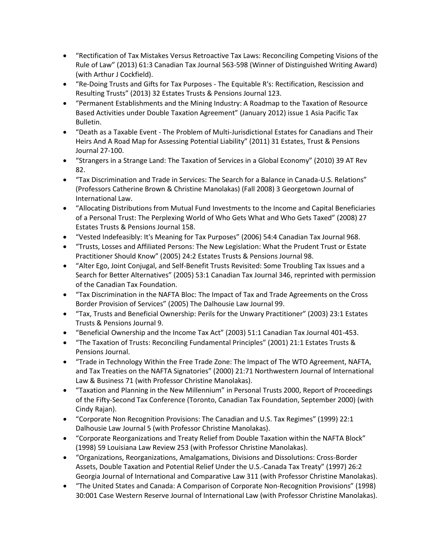- "Rectification of Tax Mistakes Versus Retroactive Tax Laws: Reconciling Competing Visions of the Rule of Law" (2013) 61:3 Canadian Tax Journal 563-598 (Winner of Distinguished Writing Award) (with Arthur J Cockfield).
- "Re-Doing Trusts and Gifts for Tax Purposes The Equitable R's: Rectification, Rescission and Resulting Trusts" (2013) 32 Estates Trusts & Pensions Journal 123.
- "Permanent Establishments and the Mining Industry: A Roadmap to the Taxation of Resource Based Activities under Double Taxation Agreement" (January 2012) issue 1 Asia Pacific Tax Bulletin.
- "Death as a Taxable Event The Problem of Multi-Jurisdictional Estates for Canadians and Their Heirs And A Road Map for Assessing Potential Liability" (2011) 31 Estates, Trust & Pensions Journal 27-100.
- "Strangers in a Strange Land: The Taxation of Services in a Global Economy" (2010) 39 AT Rev 82.
- "Tax Discrimination and Trade in Services: The Search for a Balance in Canada-U.S. Relations" (Professors Catherine Brown & Christine Manolakas) (Fall 2008) 3 Georgetown Journal of International Law.
- "Allocating Distributions from Mutual Fund Investments to the Income and Capital Beneficiaries of a Personal Trust: The Perplexing World of Who Gets What and Who Gets Taxed" (2008) 27 Estates Trusts & Pensions Journal 158.
- "Vested Indefeasibly: It's Meaning for Tax Purposes" (2006) 54:4 Canadian Tax Journal 968.
- "Trusts, Losses and Affiliated Persons: The New Legislation: What the Prudent Trust or Estate Practitioner Should Know" (2005) 24:2 Estates Trusts & Pensions Journal 98.
- "Alter Ego, Joint Conjugal, and Self-Benefit Trusts Revisited: Some Troubling Tax Issues and a Search for Better Alternatives" (2005) 53:1 Canadian Tax Journal 346, reprinted with permission of the Canadian Tax Foundation.
- "Tax Discrimination in the NAFTA Bloc: The Impact of Tax and Trade Agreements on the Cross Border Provision of Services" (2005) The Dalhousie Law Journal 99.
- "Tax, Trusts and Beneficial Ownership: Perils for the Unwary Practitioner" (2003) 23:1 Estates Trusts & Pensions Journal 9.
- "Beneficial Ownership and the Income Tax Act" (2003) 51:1 Canadian Tax Journal 401-453.
- "The Taxation of Trusts: Reconciling Fundamental Principles" (2001) 21:1 Estates Trusts & Pensions Journal.
- "Trade in Technology Within the Free Trade Zone: The Impact of The WTO Agreement, NAFTA, and Tax Treaties on the NAFTA Signatories" (2000) 21:71 Northwestern Journal of International Law & Business 71 (with Professor Christine Manolakas).
- "Taxation and Planning in the New Millennium" in Personal Trusts 2000, Report of Proceedings of the Fifty-Second Tax Conference (Toronto, Canadian Tax Foundation, September 2000) (with Cindy Rajan).
- "Corporate Non Recognition Provisions: The Canadian and U.S. Tax Regimes" (1999) 22:1 Dalhousie Law Journal 5 (with Professor Christine Manolakas).
- "Corporate Reorganizations and Treaty Relief from Double Taxation within the NAFTA Block" (1998) 59 Louisiana Law Review 253 (with Professor Christine Manolakas).
- "Organizations, Reorganizations, Amalgamations, Divisions and Dissolutions: Cross-Border Assets, Double Taxation and Potential Relief Under the U.S.-Canada Tax Treaty" (1997) 26:2 Georgia Journal of International and Comparative Law 311 (with Professor Christine Manolakas).
- "The United States and Canada: A Comparison of Corporate Non-Recognition Provisions" (1998) 30:001 Case Western Reserve Journal of International Law (with Professor Christine Manolakas).